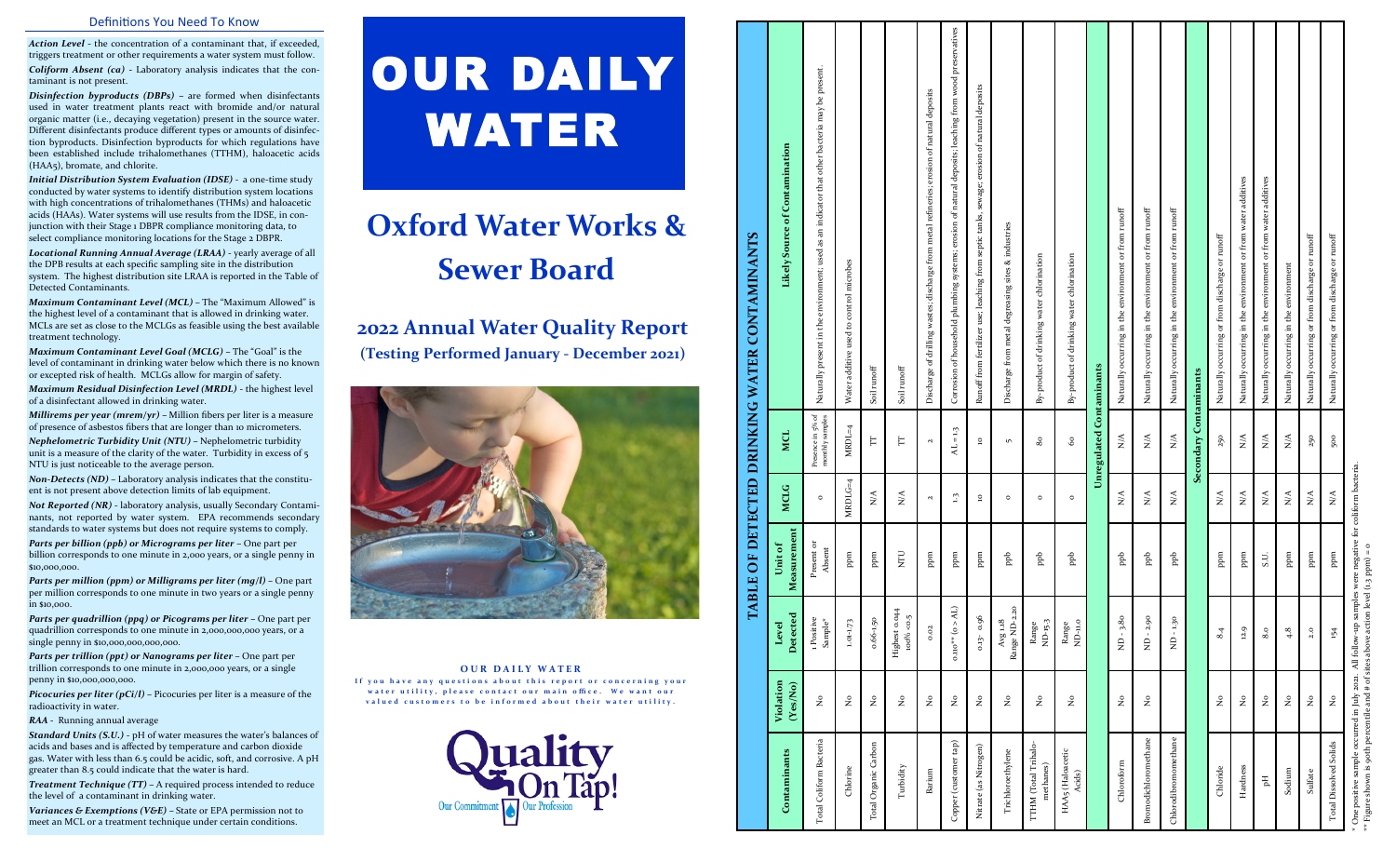#### Definitions You Need To Know

*Action Level*  **-** the concentration of a contaminant that, if exceeded, triggers treatment or other requirements a water system must follow. *Coliform Absent (ca)* **-** Laboratory analysis indicates that the contaminant is not present.

*Disinfection byproducts (DBPs)*  **–** are formed when disinfectants used in water treatment plants react with bromide and/or natural organic matter (i.e., decaying vegetation) present in the source water. Different disinfectants produce different types or amounts of disinfection byproducts. Disinfection byproducts for which regulations have been established include trihalomethanes (TTHM), haloacetic acids (HAA5), bromate, and chlorite.

*Initial Distribution System Evaluation (IDSE) -* a one -time study conducted by water systems to identify distribution system locations with high concentrations of trihalomethanes (THMs) and haloacetic acids (HAAs). Water systems will use results from the IDSE, in conjunction with their Stage 1 DBPR compliance monitoring data, to select compliance monitoring locations for the Stage 2 DBPR.

*Locational Running Annual Average (LRAA)*  - yearly average of all the DPB results at each specific sampling site in the distribution system. The highest distribution site LRAA is reported in the Table of Detected Contaminants.

*Maximum Contaminant Level (MCL) –* The "Maximum Allowed" is the highest level of a contaminant that is allowed in drinking water. MCLs are set as close to the MCLGs as feasible using the best available treatment technology.

*Maximum Contaminant Level Goal (MCLG) –* The "Goal" is the level of contaminant in drinking water below which there is no known or excepted risk of health. MCLGs allow for margin of safety.

*Maximum Residual Disinfection Level (MRDL)* - the highest level of a disinfectant allowed in drinking water.

*Millirems per year (mrem/yr) –* Million fibers per liter is a measure of presence of asbestos fibers that are longer than 10 micrometers.

*Nephelometric Turbidity Unit (NTU) –* Nephelometric turbidity unit is a measure of the clarity of the water. Turbidity in excess of 5 NTU is just noticeable to the average person.

*Non -Detects (ND) –* Laboratory analysis indicates that the constituent is not present above detection limits of lab equipment.

*Not Reported (NR)*  **-** laboratory analysis, usually Secondary Contaminants, not reported by water system. EPA recommends secondary standards to water systems but does not require systems to comply.

*Parts per billion (ppb) or Micrograms per liter –* One part per billion corresponds to one minute in 2,000 years, or a single penny in \$10,000,000.

*Parts per million (ppm) or Milligrams per liter (mg/l) –* One part per million corresponds to one minute in two years or a single penny in \$10,000.

**Parts per quadrillion (ppq) or Picograms per liter – One part per** quadrillion corresponds to one minute in 2,000,000,000 years, or a single penny in \$10,000,000,000,000.

*Parts per trillion (ppt) or Nanograms per liter –* One part per trillion corresponds to one minute in 2,000,000 years, or a single penny in \$10,000,000,000.

**Picocuries per liter (pCi/l)** – Picocuries per liter is a measure of the radioactivity in water.

*RAA -* Running annual average

*Standard Units (S.U.)* - pH of water measures the water 's balances of acids and bases and is affected by temperature and carbon dioxide gas. Water with less than 6.5 could be acidic, soft, and corrosive. A pH greater than 8.5 could indicate that the water is hard.

*Treatment Technique (TT) – A required process intended to reduce* the level of a contaminant in drinking water.

*Variances & Exemptions (V&E)* – State or EPA permission not to meet an MCL or a treatment technique under certain conditions.

# OUR DAILY WATER

## **Oxford Water Works & Sewer Board**

### **2022 Annual Water Quality Report (Testing Performed January - December 2021)**



#### **OUR DAILY WATER**

If you have any questions about this report or concerning your water utility, please contact our main office. We want our valued customers to be informed about their water utility.



#### $\Omega_{\rm CO}$  and  $\Omega_{\rm CO}$  and  $\Omega_{\rm CO}$  and  $\Omega_{\rm CO}$  and  $\Lambda_{\rm L}=1.3$  AL = 1.3 AL) and  $\Omega_{\rm CO}$  and  $\Omega_{\rm CO}$  and  $\Omega_{\rm CO}$  and  $\Omega_{\rm CO}$  and  $\Omega_{\rm CO}$  and  $\Omega_{\rm CO}$  and  $\Lambda_{\rm C}$  and  $\Lambda_{\rm CO}$  and  $\Lambda_{\rm CO}$  and  $\Lambda_{\rm CO}$ wood preserv that other bacteria may be present. Total Coliform Bacteria No 1 Positive Present or Presence in 5% of Maturally present in the environment; used as an indicator that other bacteria may be present.<br>Sample\* Absent Nitrate (as Nitrogen) No 0.13- 0.96 ppm 10 10 Runoff from fertilizer use; leaching from septic tanks, sewage; erosion of natural deposits  $B_{\rm B}$  a  $\hbox{p}$   $\alpha$   $\alpha$   $\alpha$   $\beta$   $\alpha$   $\beta$   $\beta$   $\alpha$   $\beta$   $\beta$   $\alpha$   $\beta$   $\beta$   $\alpha$   $\beta$   $\alpha$   $\beta$   $\alpha$   $\beta$   $\alpha$   $\beta$   $\alpha$   $\beta$   $\alpha$   $\beta$   $\alpha$   $\beta$   $\alpha$   $\beta$   $\alpha$   $\beta$   $\alpha$   $\beta$   $\alpha$   $\beta$   $\alpha$   $\beta$   $\alpha$   $\beta$   $\alpha$  ion of natural deposits; leaching from depo of natural depo natural  $\epsilon$ Contamination **MCLG MCL Likely Source of Contamination** moison sion Hardness Notifies No 12.9 ppm N/A Naturally occurring in the environment or from water and  $\alpha$  or  $\alpha$ pH No 8.0 S.U. N/A N/A Naturally occurring in the environment or from water additives additiv ator runoff  $\mathop{\rm runoff}\nolimits$ indic Chloroform No No No No No Naturally occurring in the environment of the environment or from runoff in the environment or from run of the environment or from runoff in the environment of the environment of the environment o  $B_{\rm{non-11}}$  and  $B_{\rm{non-12}}$  and  $B_{\rm{non-12}}$  be  $B_{\rm{non-12}}$  and  $B_{\rm{non-12}}$  and  $B_{\rm{non-12}}$  and  $B_{\rm{non-12}}$  and  $B_{\rm{non-12}}$  and  $B_{\rm{non-12}}$  and  $B_{\rm{non-12}}$  and  $B_{\rm{non-12}}$  and  $B_{\rm{non-12}}$ Chlorodibromomethane ND - 1.30 ppb N/A N/A Naturally occurring in the environment or from runoff tanks, netal Trichloroethylene No No Avg 1.18 ppb 1.18 ppb 0 5 Discharge from metal degreasing sites & industries ដូ ent or from 1 WATER CONTAMINANTS **TABLE OF DETECTED DRINKING WATER CONTAMINANTS**  $\in$ nt or from irring or from discharge or runoff Chloride No 8.4 ppm N/A 250 Naturally occurring or from the N-A 250 Natural or from discharge or from discharge or run from discharge or  $\sim$  7.4 Natural or from discharge or  $\sim$  7.4 Natural or from discharge or  $\sim$  7.4 Sulfate No 2.0 ppm N/A 250 Naturally occurring or from discharge or runoff Total Dissolved Solids Note 154 ppm N/A 500 Natural Solid or from discharge or runoff or from discharge or run<br>Profession or from discharge or from discharge or from discharge or run from discharge or from discharge or ru environment: used as nt or methanes) No Range ND-15.3 ppb 0 80 By-product of drinking water chlorination chlorination (Haloacetic No Range ppb 0 60 By-product of drinking water chlorination).<br>Acids) By-product of drinking water chlorination Likely Ę చ Chlorine No 1.01-1.73 ppm MRDLG=4 MRDL=4 Water additive used to control microbes is a source in the environment of  $\frac{1}{2}$  and  $\frac{1}{2}$  and  $\frac{1}{2}$  and  $\frac{1}{2}$  and  $\frac{1}{2}$  and  $\frac{1}{2}$  and  $\frac{1}{2}$  and  $\frac{1}{2}$  and  $\frac{1}{2}$  and  $\frac{1}{2}$  and  $\frac{1}{2}$  and  $\frac{1}{2}$  and  $\frac{1}{2}$  and  $\frac{1}{$ wastes; discharge ան leaching environn disch ouvirs control of household plumb occurring in the use; occurring in the Ĕ ě ent in the used to product of drinking ng in agin E ign of drillin additive ă **Unregulated Contaminants** Total Organic Carbon No 0.66-1.50 ppm N/A TT Soil runoff Turbidity No Highest 0.044 NTU N/A TT Soil runoff Soil runoff Naturally Corrosion Discharge Naturally **Secondary Contaminants** Runoff fro Naturally Vaturally ЧE Dischar Soil ru j<br>S à **DRINKING** Com  $MRDL=4$  $AL = 1.3$ ulated MCL  $\sum_{i=1}^{n}$  $\leq$  $\overleftarrow{\text{F}}$  $\mathsf{E}$  $60^{\circ}$  $\sum_{i=1}^{n}$ 250  $\sum_{i=1}^{n}$  $\lesssim$  $\circ$  $\sqrt{2}$ 80  $_{\rm dary}$  $\frac{3}{2}$  $50$ **OF DETECTED**  $MRLG=4$ MCLG  $\tilde{\mathbf{x}}$  $\tilde{\mathbf{x}}$  $\stackrel{\triangle}{\geq}$  $\mathfrak{a}$  $\lesssim$  $\mathop{\rm S}\limits^\triangle$  $\sum_{i=1}^{n}$  $\mathop{\lesssim}\limits_{\mathbf{Z}}$  $\frac{1}{2}$  $\lesssim$  $\frac{1}{N}$  $\tilde{N}$  $\circ$  $\circ$  $\circ$  $\circ$  $\circ$ Measurement **Measurement Unit of**  resent o<br>Absent  $\rm \overline{E}$ **E** ppm ppm ppm ppm  $_{\rm ppb}$  $\frac{1}{2}$  $_{\rm{pe}}$  $_{\rm peb}$ ppm <sub>nd</sub>d pm ppm p<sub>p</sub>b ppb S.U. TABLE<sup>(</sup>  $0.110^{**}$  (o  $>$  AL)  $ND - 3.80$  $ND - 1.30$ **Detected**  $rac{6}{5}$ 0.96  $\begin{array}{l} \textrm{Avg 1.18}\\ \textrm{ige ND-2.} \end{array}$ 2.90  $0.66 - 1.50$ Positive<br>Sample\*  $1.01 - 1.73$ Range<br>ND-15-3  $\begin{array}{c} \text{Range} \\ \text{ND--u.o} \end{array}$ **Level**   $8.4$  $12.9$  $4.8$  $^{2.0}$ 154  ${\bf Higher\,} \label{B5}$   ${\bf 100\%}$  $8.0$  $-510$  $\dot{z}$ **Violation (Yes/No)**  $\mathsf{e}$  $\bar{z}$  $\epsilon$  $\epsilon$  $\epsilon$  $\mathsf{S}$  $\epsilon$  $\mathsf{S}$  $\epsilon$  $\epsilon$  $\epsilon$  $\frac{1}{2}$  $\mathsf{e}$  $\bar{z}$  $\epsilon$  $\epsilon$  $\frac{1}{2}$ ž.  $\alpha$ rethane Bacteria tap) TTHM (Total Trihalo-<br>methanes) ethane Dissolved Solids TTHM (Total Trihalo-Nitrate (as Nitrogen) HAA5 (Haloacetic Contaminants **Contaminants** Total Organic Carbo Copper (customer Trichloroethyle Turbidity Chloride Hardness HAA5 (Haload)<br>Acids)  ${\bf S}$ odium Barium Sulfate otal Coliform modichloro **hlorodibrom**  $\mathbb{H}$ Chlord ਟੀ<br>ਹ **Total**

\* One positive sample occurred in July 2021. All follow-up samples were negative for coliform bacteria.  $\begin{array}{c}\n\text{negative} \\
\text{pm}\n\end{array}$  $**$  Figure shown is 90th percentile and # of sites above action level (1.3 ppm) = 0 were  $\frac{1}{1.3}$  PF ples<br>evel ੜੇ ਵਿ All followred in July 2021.  $\frac{1}{2}$ <br>entile and # of site